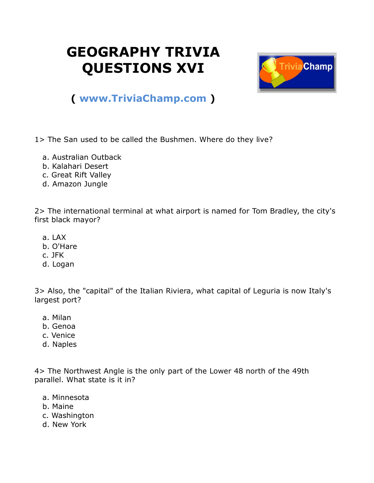## **GEOGRAPHY TRIVIA QUESTIONS XVI**



## **( [www.TriviaChamp.com](http://www.triviachamp.com/) )**

1> The San used to be called the Bushmen. Where do they live?

- a. Australian Outback
- b. Kalahari Desert
- c. Great Rift Valley
- d. Amazon Jungle

2> The international terminal at what airport is named for Tom Bradley, the city's first black mayor?

- a. LAX
- b. O'Hare
- c. JFK
- d. Logan

3> Also, the "capital" of the Italian Riviera, what capital of Leguria is now Italy's largest port?

- a. Milan
- b. Genoa
- c. Venice
- d. Naples

4> The Northwest Angle is the only part of the Lower 48 north of the 49th parallel. What state is it in?

- a. Minnesota
- b. Maine
- c. Washington
- d. New York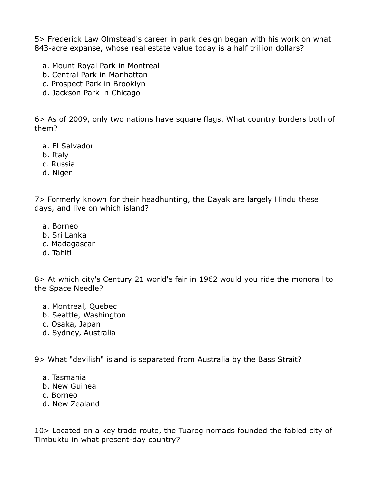5> Frederick Law Olmstead's career in park design began with his work on what 843-acre expanse, whose real estate value today is a half trillion dollars?

- a. Mount Royal Park in Montreal
- b. Central Park in Manhattan
- c. Prospect Park in Brooklyn
- d. Jackson Park in Chicago

6> As of 2009, only two nations have square flags. What country borders both of them?

- a. El Salvador
- b. Italy
- c. Russia
- d. Niger

7> Formerly known for their headhunting, the Dayak are largely Hindu these days, and live on which island?

- a. Borneo
- b. Sri Lanka
- c. Madagascar
- d. Tahiti

8> At which city's Century 21 world's fair in 1962 would you ride the monorail to the Space Needle?

- a. Montreal, Quebec
- b. Seattle, Washington
- c. Osaka, Japan
- d. Sydney, Australia

9> What "devilish" island is separated from Australia by the Bass Strait?

- a. Tasmania
- b. New Guinea
- c. Borneo
- d. New Zealand

10> Located on a key trade route, the Tuareg nomads founded the fabled city of Timbuktu in what present-day country?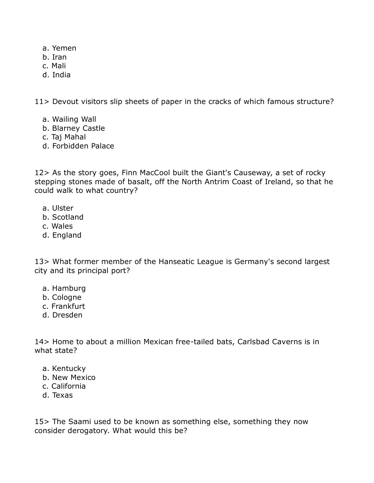- a. Yemen
- b. Iran
- c. Mali
- d. India

11> Devout visitors slip sheets of paper in the cracks of which famous structure?

- a. Wailing Wall
- b. Blarney Castle
- c. Taj Mahal
- d. Forbidden Palace

12> As the story goes, Finn MacCool built the Giant's Causeway, a set of rocky stepping stones made of basalt, off the North Antrim Coast of Ireland, so that he could walk to what country?

- a. Ulster
- b. Scotland
- c. Wales
- d. England

13> What former member of the Hanseatic League is Germany's second largest city and its principal port?

- a. Hamburg
- b. Cologne
- c. Frankfurt
- d. Dresden

14> Home to about a million Mexican free-tailed bats, Carlsbad Caverns is in what state?

- a. Kentucky
- b. New Mexico
- c. California
- d. Texas

15> The Saami used to be known as something else, something they now consider derogatory. What would this be?